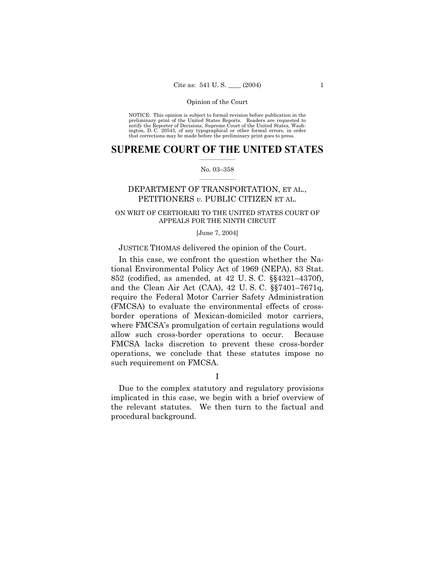NOTICE: This opinion is subject to formal revision before publication in the preliminary print of the United States Reports. Readers are requested to notify the Reporter of Decisions, Supreme Court of the United States, Wa ington, D. C. 20543, of any typographical or other formal errors, in order that corrections may be made before the preliminary print goes to press.

### **SUPREME COURT OF THE UNITED STATES**  $\mathcal{L}=\mathcal{L}^{\mathcal{L}}$

#### No. 03-358  $\mathcal{L}=\mathcal{L}^{\mathcal{L}}$

# DEPARTMENT OF TRANSPORTATION, ET AL., PETITIONERS *v.* PUBLIC CITIZEN ET AL.

## ON WRIT OF CERTIORARI TO THE UNITED STATES COURT OF APPEALS FOR THE NINTH CIRCUIT

#### [June 7, 2004]

### JUSTICE THOMAS delivered the opinion of the Court.

In this case, we confront the question whether the National Environmental Policy Act of 1969 (NEPA), 83 Stat. 852 (codified, as amended, at  $42 \text{ U.S. C. }$  \$\$4321-4370f), and the Clean Air Act (CAA),  $42$  U.S.C.  $\S$  $7401-7671q$ , require the Federal Motor Carrier Safety Administration (FMCSA) to evaluate the environmental effects of crossborder operations of Mexican-domiciled motor carriers, where FMCSA's promulgation of certain regulations would allow such cross-border operations to occur. Because FMCSA lacks discretion to prevent these cross-border operations, we conclude that these statutes impose no such requirement on FMCSA.

#### I

Due to the complex statutory and regulatory provisions implicated in this case, we begin with a brief overview of the relevant statutes. We then turn to the factual and procedural background.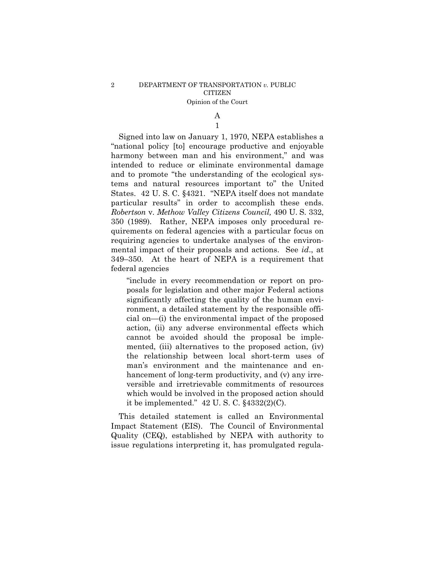# A 1

Signed into law on January 1, 1970, NEPA establishes a ìnational policy [to] encourage productive and enjoyable harmony between man and his environment," and was intended to reduce or eliminate environmental damage and to promote "the understanding of the ecological systems and natural resources important to" the United States. 42 U.S.C. §4321. "NEPA itself does not mandate particular results" in order to accomplish these ends. *Robertson* v. *Methow Valley Citizens Council,* 490 U. S. 332, 350 (1989). Rather, NEPA imposes only procedural requirements on federal agencies with a particular focus on requiring agencies to undertake analyses of the environmental impact of their proposals and actions. See *id*., at  $349-350$ . At the heart of NEPA is a requirement that federal agencies

ìinclude in every recommendation or report on proposals for legislation and other major Federal actions significantly affecting the quality of the human environment, a detailed statement by the responsible official on $\equiv$ (i) the environmental impact of the proposed action, (ii) any adverse environmental effects which cannot be avoided should the proposal be implemented, (iii) alternatives to the proposed action, (iv) the relationship between local short-term uses of manís environment and the maintenance and enhancement of long-term productivity, and (v) any irreversible and irretrievable commitments of resources which would be involved in the proposed action should it be implemented."  $42 \text{ U}$ . S. C.  $\S 4332(2)(C)$ .

This detailed statement is called an Environmental Impact Statement (EIS). The Council of Environmental Quality (CEQ), established by NEPA with authority to issue regulations interpreting it, has promulgated regula-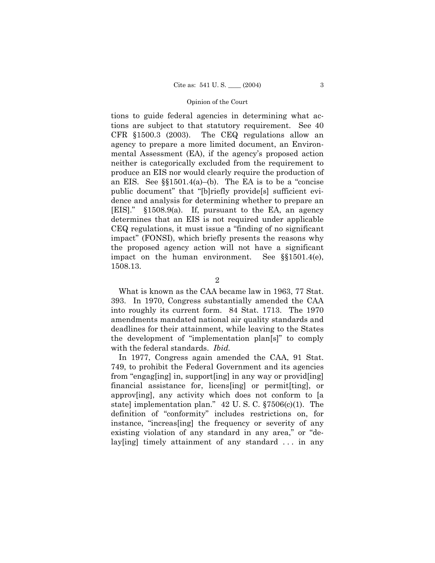tions to guide federal agencies in determining what actions are subject to that statutory requirement. See 40 CFR ß1500.3 (2003). The CEQ regulations allow an agency to prepare a more limited document, an Environmental Assessment (EA), if the agencyís proposed action neither is categorically excluded from the requirement to produce an EIS nor would clearly require the production of an EIS. See  $\S$  $1501.4(a)$ –(b). The EA is to be a "concise public document" that "[b]riefly provide[s] sufficient evidence and analysis for determining whether to prepare an [EIS]."  $$1508.9(a)$ . If, pursuant to the EA, an agency determines that an EIS is not required under applicable  $CEQ$  regulations, it must issue a "finding of no significant" impact" (FONSI), which briefly presents the reasons why the proposed agency action will not have a significant impact on the human environment. See  $\S$ \$1501.4(e), 1508.13.

2

What is known as the CAA became law in 1963, 77 Stat. 393. In 1970, Congress substantially amended the CAA into roughly its current form. 84 Stat. 1713. The 1970 amendments mandated national air quality standards and deadlines for their attainment, while leaving to the States the development of "implementation plan[s]" to comply with the federal standards. *Ibid.*

In 1977, Congress again amended the CAA, 91 Stat. 749, to prohibit the Federal Government and its agencies from "engag[ing] in, support[ing] in any way or provid[ing] financial assistance for, licens[ing] or permit[ting], or approv[ing], any activity which does not conform to [a state] implementation plan."  $42$  U. S. C.  $$7506(c)(1)$ . The definition of "conformity" includes restrictions on, for instance, "increas [ing] the frequency or severity of any existing violation of any standard in any area," or "delay[ing] timely attainment of any standard . . . in any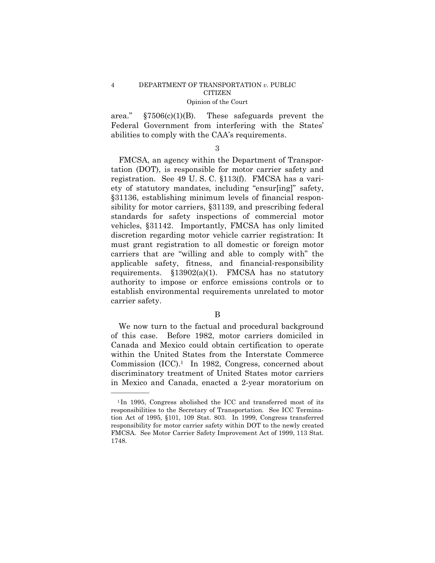# 4 DEPARTMENT OF TRANSPORTATION *v.* PUBLIC **CITIZEN** Opinion of the Court

area."  $\S 7506(c)(1)(B)$ . These safeguards prevent the Federal Government from interfering with the States' abilities to comply with the CAAís requirements.

3

FMCSA, an agency within the Department of Transportation (DOT), is responsible for motor carrier safety and registration. See 49 U. S. C. ß113(f). FMCSA has a variety of statutory mandates, including "ensur[ing]" safety, ß31136, establishing minimum levels of financial responsibility for motor carriers, ß31139, and prescribing federal standards for safety inspections of commercial motor vehicles, ß31142. Importantly, FMCSA has only limited discretion regarding motor vehicle carrier registration: It must grant registration to all domestic or foreign motor carriers that are "willing and able to comply with" the applicable safety, fitness, and financial-responsibility requirements.  $$13902(a)(1)$ . FMCSA has no statutory authority to impose or enforce emissions controls or to establish environmental requirements unrelated to motor carrier safety.

# B

We now turn to the factual and procedural background of this case. Before 1982, motor carriers domiciled in Canada and Mexico could obtain certification to operate within the United States from the Interstate Commerce Commission (ICC).<sup>1</sup> In 1982, Congress, concerned about discriminatory treatment of United States motor carriers in Mexico and Canada, enacted a 2-year moratorium on

<sup>&</sup>lt;sup>1</sup>In 1995, Congress abolished the ICC and transferred most of its responsibilities to the Secretary of Transportation. See ICC Termination Act of 1995, ß101, 109 Stat. 803. In 1999, Congress transferred responsibility for motor carrier safety within DOT to the newly created FMCSA. See Motor Carrier Safety Improvement Act of 1999, 113 Stat. 1748.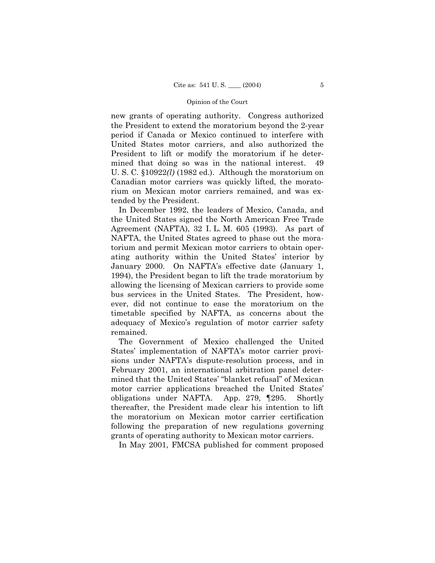new grants of operating authority. Congress authorized the President to extend the moratorium beyond the 2-year period if Canada or Mexico continued to interfere with United States motor carriers, and also authorized the President to lift or modify the moratorium if he determined that doing so was in the national interest. 49 U. S. C. ß10922*(l)* (1982 ed.). Although the moratorium on Canadian motor carriers was quickly lifted, the moratorium on Mexican motor carriers remained, and was extended by the President.

In December 1992, the leaders of Mexico, Canada, and the United States signed the North American Free Trade Agreement (NAFTA), 32 I. L. M. 605 (1993). As part of NAFTA, the United States agreed to phase out the moratorium and permit Mexican motor carriers to obtain operating authority within the United States' interior by January 2000. On NAFTAís effective date (January 1, 1994), the President began to lift the trade moratorium by allowing the licensing of Mexican carriers to provide some bus services in the United States. The President, however, did not continue to ease the moratorium on the timetable specified by NAFTA, as concerns about the adequacy of Mexico's regulation of motor carrier safety remained.

The Government of Mexico challenged the United States' implementation of NAFTA's motor carrier provisions under NAFTAís dispute-resolution process, and in February 2001, an international arbitration panel determined that the United States' "blanket refusal" of Mexican motor carrier applications breached the United States' obligations under NAFTA. App. 279, ¶295. Shortly thereafter, the President made clear his intention to lift the moratorium on Mexican motor carrier certification following the preparation of new regulations governing grants of operating authority to Mexican motor carriers.

In May 2001, FMCSA published for comment proposed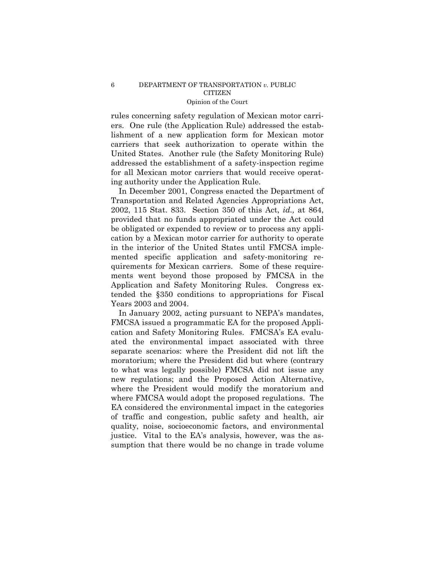rules concerning safety regulation of Mexican motor carriers. One rule (the Application Rule) addressed the establishment of a new application form for Mexican motor carriers that seek authorization to operate within the United States. Another rule (the Safety Monitoring Rule) addressed the establishment of a safety-inspection regime for all Mexican motor carriers that would receive operating authority under the Application Rule.

In December 2001, Congress enacted the Department of Transportation and Related Agencies Appropriations Act, 2002, 115 Stat. 833. Section 350 of this Act, *id.,* at 864, provided that no funds appropriated under the Act could be obligated or expended to review or to process any application by a Mexican motor carrier for authority to operate in the interior of the United States until FMCSA implemented specific application and safety-monitoring requirements for Mexican carriers. Some of these requirements went beyond those proposed by FMCSA in the Application and Safety Monitoring Rules. Congress extended the ß350 conditions to appropriations for Fiscal Years 2003 and 2004.

In January 2002, acting pursuant to NEPA's mandates, FMCSA issued a programmatic EA for the proposed Application and Safety Monitoring Rules. FMCSA's EA evaluated the environmental impact associated with three separate scenarios: where the President did not lift the moratorium; where the President did but where (contrary to what was legally possible) FMCSA did not issue any new regulations; and the Proposed Action Alternative, where the President would modify the moratorium and where FMCSA would adopt the proposed regulations. The EA considered the environmental impact in the categories of traffic and congestion, public safety and health, air quality, noise, socioeconomic factors, and environmental justice. Vital to the EA's analysis, however, was the assumption that there would be no change in trade volume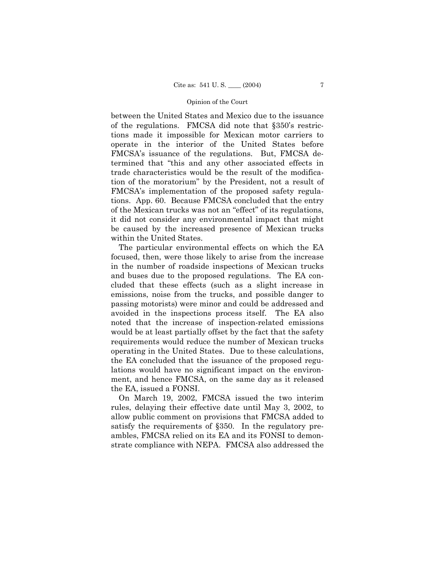between the United States and Mexico due to the issuance of the regulations. FMCSA did note that §350's restrictions made it impossible for Mexican motor carriers to operate in the interior of the United States before FMCSAís issuance of the regulations. But, FMCSA determined that "this and any other associated effects in trade characteristics would be the result of the modification of the moratoriumî by the President, not a result of FMCSA's implementation of the proposed safety regulations. App. 60. Because FMCSA concluded that the entry of the Mexican trucks was not an "effect" of its regulations, it did not consider any environmental impact that might be caused by the increased presence of Mexican trucks within the United States.

The particular environmental effects on which the EA focused, then, were those likely to arise from the increase in the number of roadside inspections of Mexican trucks and buses due to the proposed regulations. The EA concluded that these effects (such as a slight increase in emissions, noise from the trucks, and possible danger to passing motorists) were minor and could be addressed and avoided in the inspections process itself. The EA also noted that the increase of inspection-related emissions would be at least partially offset by the fact that the safety requirements would reduce the number of Mexican trucks operating in the United States. Due to these calculations, the EA concluded that the issuance of the proposed regulations would have no significant impact on the environment, and hence FMCSA, on the same day as it released the EA, issued a FONSI.

On March 19, 2002, FMCSA issued the two interim rules, delaying their effective date until May 3, 2002, to allow public comment on provisions that FMCSA added to satisfy the requirements of §350. In the regulatory preambles, FMCSA relied on its EA and its FONSI to demonstrate compliance with NEPA. FMCSA also addressed the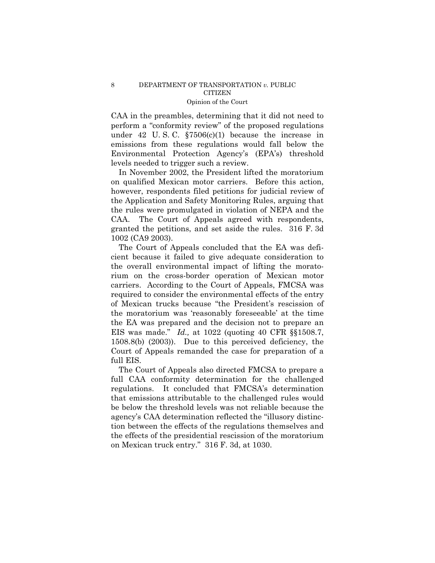CAA in the preambles, determining that it did not need to perform a "conformity review" of the proposed regulations under 42 U.S.C.  $\S7506(c)(1)$  because the increase in emissions from these regulations would fall below the Environmental Protection Agency's (EPA's) threshold levels needed to trigger such a review.

In November 2002, the President lifted the moratorium on qualified Mexican motor carriers. Before this action, however, respondents filed petitions for judicial review of the Application and Safety Monitoring Rules, arguing that the rules were promulgated in violation of NEPA and the CAA. The Court of Appeals agreed with respondents, granted the petitions, and set aside the rules. 316 F. 3d 1002 (CA9 2003).

The Court of Appeals concluded that the EA was deficient because it failed to give adequate consideration to the overall environmental impact of lifting the moratorium on the cross-border operation of Mexican motor carriers. According to the Court of Appeals, FMCSA was required to consider the environmental effects of the entry of Mexican trucks because "the President's rescission of the moratorium was 'reasonably foreseeable' at the time the EA was prepared and the decision not to prepare an EIS was made." *Id.*, at 1022 (quoting 40 CFR §§1508.7, 1508.8(b) (2003)). Due to this perceived deficiency, the Court of Appeals remanded the case for preparation of a full EIS.

The Court of Appeals also directed FMCSA to prepare a full CAA conformity determination for the challenged regulations. It concluded that FMCSA's determination that emissions attributable to the challenged rules would be below the threshold levels was not reliable because the agency's CAA determination reflected the "illusory distinction between the effects of the regulations themselves and the effects of the presidential rescission of the moratorium on Mexican truck entry." 316 F. 3d, at 1030.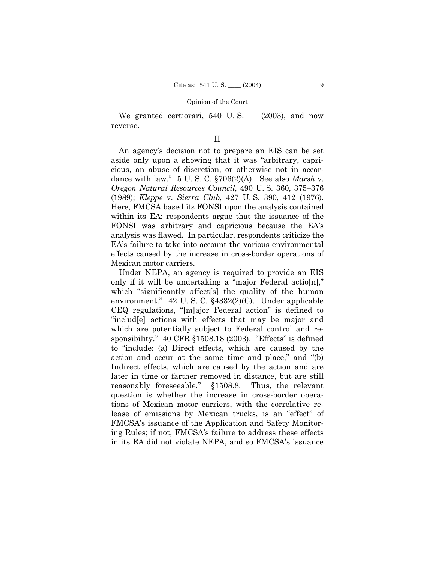We granted certiorari, 540 U.S.  $\_\_$  (2003), and now reverse.

# II

An agencyís decision not to prepare an EIS can be set aside only upon a showing that it was "arbitrary, capricious, an abuse of discretion, or otherwise not in accordance with law.î 5 U. S. C. ß706(2)(A). See also *Marsh* v. *Oregon Natural Resources Council,* 490 U.S. 360, 375–376 (1989); *Kleppe* v. *Sierra Club*, 427 U. S. 390, 412 (1976). Here, FMCSA based its FONSI upon the analysis contained within its EA; respondents argue that the issuance of the FONSI was arbitrary and capricious because the EAís analysis was flawed. In particular, respondents criticize the EA's failure to take into account the various environmental effects caused by the increase in cross-border operations of Mexican motor carriers.

Under NEPA, an agency is required to provide an EIS only if it will be undertaking a "major Federal actio[n]," which "significantly affect[s] the quality of the human environment." 42 U.S.C.  $$4332(2)(C)$ . Under applicable  $CEQ$  regulations, " $[m]$ ajor Federal action" is defined to "includ[e] actions with effects that may be major and which are potentially subject to Federal control and responsibility."  $40 \text{ CFR } $1508.18 (2003)$ . "Effects" is defined to "include: (a) Direct effects, which are caused by the action and occur at the same time and place," and " $(b)$ Indirect effects, which are caused by the action and are later in time or farther removed in distance, but are still reasonably foreseeable." §1508.8. Thus, the relevant question is whether the increase in cross-border operations of Mexican motor carriers, with the correlative release of emissions by Mexican trucks, is an "effect" of FMCSAís issuance of the Application and Safety Monitoring Rules; if not, FMCSA's failure to address these effects in its EA did not violate NEPA, and so FMCSA's issuance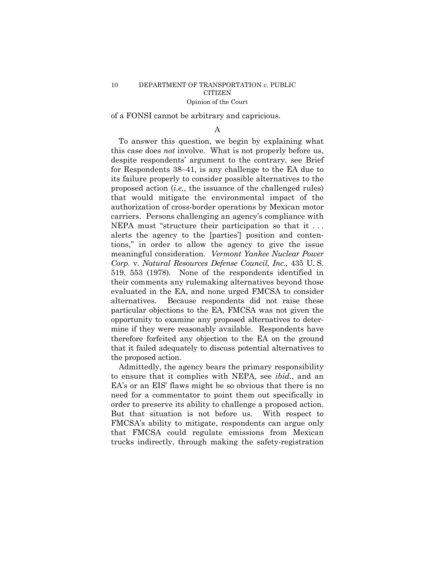of a FONSI cannot be arbitrary and capricious.

# A

To answer this question, we begin by explaining what this case does *not* involve. What is not properly before us, despite respondents' argument to the contrary, see Brief for Respondents  $38-41$ , is any challenge to the EA due to its failure properly to consider possible alternatives to the proposed action (*i.e.*, the issuance of the challenged rules) that would mitigate the environmental impact of the authorization of cross-border operations by Mexican motor carriers. Persons challenging an agencyís compliance with NEPA must "structure their participation so that it  $\dots$ alerts the agency to the [partiesí] position and contentions," in order to allow the agency to give the issue meaningful consideration. *Vermont Yankee Nuclear Power Corp.* v. *Natural Resources Defense Council, Inc.,* 435 U. S. 519, 553 (1978). None of the respondents identified in their comments any rulemaking alternatives beyond those evaluated in the EA, and none urged FMCSA to consider alternatives. Because respondents did not raise these particular objections to the EA, FMCSA was not given the opportunity to examine any proposed alternatives to determine if they were reasonably available. Respondents have therefore forfeited any objection to the EA on the ground that it failed adequately to discuss potential alternatives to the proposed action.

Admittedly, the agency bears the primary responsibility to ensure that it complies with NEPA, see *ibid.*, and an EA's or an EIS' flaws might be so obvious that there is no need for a commentator to point them out specifically in order to preserve its ability to challenge a proposed action. But that situation is not before us. With respect to FMCSAís ability to mitigate, respondents can argue only that FMCSA could regulate emissions from Mexican trucks indirectly, through making the safety-registration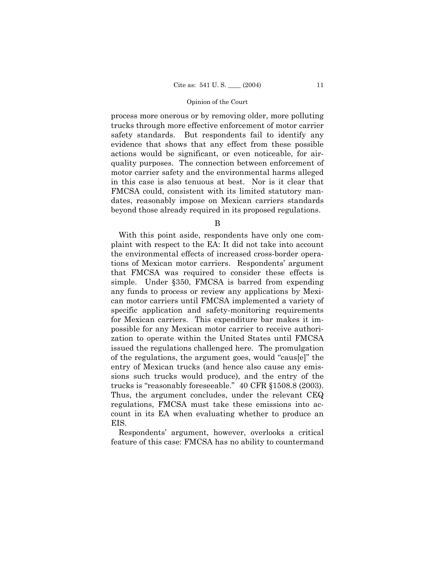process more onerous or by removing older, more polluting trucks through more effective enforcement of motor carrier safety standards. But respondents fail to identify any evidence that shows that any effect from these possible actions would be significant, or even noticeable, for airquality purposes. The connection between enforcement of motor carrier safety and the environmental harms alleged in this case is also tenuous at best. Nor is it clear that FMCSA could, consistent with its limited statutory mandates, reasonably impose on Mexican carriers standards beyond those already required in its proposed regulations.

B

With this point aside, respondents have only one complaint with respect to the EA: It did not take into account the environmental effects of increased cross-border operations of Mexican motor carriers. Respondents' argument that FMCSA was required to consider these effects is simple. Under ß350, FMCSA is barred from expending any funds to process or review any applications by Mexican motor carriers until FMCSA implemented a variety of specific application and safety-monitoring requirements for Mexican carriers. This expenditure bar makes it impossible for any Mexican motor carrier to receive authorization to operate within the United States until FMCSA issued the regulations challenged here. The promulgation of the regulations, the argument goes, would "caus[e]" the entry of Mexican trucks (and hence also cause any emissions such trucks would produce), and the entry of the trucks is "reasonably foreseeable."  $40$  CFR  $\S 1508.8$  (2003). Thus, the argument concludes, under the relevant CEQ regulations, FMCSA must take these emissions into account in its EA when evaluating whether to produce an EIS.

Respondentsí argument, however, overlooks a critical feature of this case: FMCSA has no ability to countermand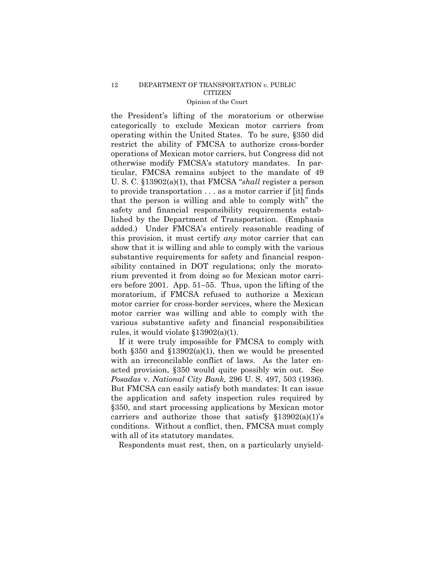the Presidentís lifting of the moratorium or otherwise categorically to exclude Mexican motor carriers from operating within the United States. To be sure, ß350 did restrict the ability of FMCSA to authorize cross-border operations of Mexican motor carriers, but Congress did not otherwise modify FMCSAís statutory mandates. In particular, FMCSA remains subject to the mandate of 49 U. S. C.  $$13902(a)(1)$ , that FMCSA "*shall* register a person to provide transportation . . . as a motor carrier if [it] finds that the person is willing and able to comply with the safety and financial responsibility requirements established by the Department of Transportation. (Emphasis added.) Under FMCSAís entirely reasonable reading of this provision, it must certify *any* motor carrier that can show that it is willing and able to comply with the various substantive requirements for safety and financial responsibility contained in DOT regulations; only the moratorium prevented it from doing so for Mexican motor carriers before 2001. App.  $51-55$ . Thus, upon the lifting of the moratorium, if FMCSA refused to authorize a Mexican motor carrier for cross-border services, where the Mexican motor carrier was willing and able to comply with the various substantive safety and financial responsibilities rules, it would violate  $$13902(a)(1)$ .

If it were truly impossible for FMCSA to comply with both  $§350$  and  $§13902(a)(1)$ , then we would be presented with an irreconcilable conflict of laws. As the later enacted provision, ß350 would quite possibly win out. See *Posadas* v. *National City Bank,* 296 U. S. 497, 503 (1936). But FMCSA can easily satisfy both mandates: It can issue the application and safety inspection rules required by §350, and start processing applications by Mexican motor carriers and authorize those that satisfy  $$13902(a)(1)'s$ conditions. Without a conflict, then, FMCSA must comply with all of its statutory mandates.

Respondents must rest, then, on a particularly unyield-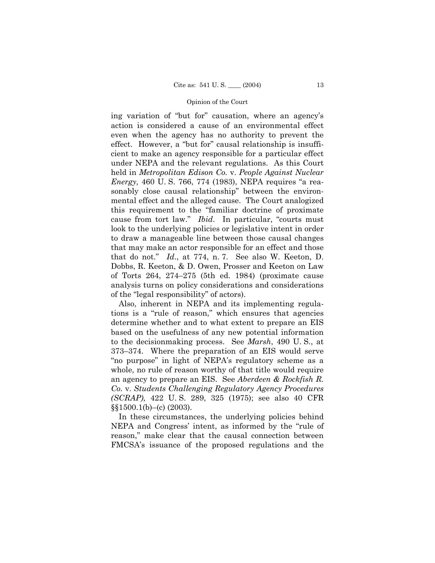ing variation of "but for" causation, where an agency's action is considered a cause of an environmental effect even when the agency has no authority to prevent the effect. However, a "but for" causal relationship is insufficient to make an agency responsible for a particular effect under NEPA and the relevant regulations. As this Court held in *Metropolitan Edison Co.* v. *People Against Nuclear Energy*, 460 U.S. 766, 774 (1983), NEPA requires "a reasonably close causal relationship" between the environmental effect and the alleged cause. The Court analogized this requirement to the "familiar doctrine of proximate cause from tort law." *Ibid*. In particular, "courts must" look to the underlying policies or legislative intent in order to draw a manageable line between those causal changes that may make an actor responsible for an effect and those that do not.î *Id*., at 774, n. 7. See also W. Keeton, D. Dobbs, R. Keeton, & D. Owen, Prosser and Keeton on Law of Torts  $264$ ,  $274-275$  (5th ed. 1984) (proximate cause analysis turns on policy considerations and considerations of the "legal responsibility" of actors).

Also, inherent in NEPA and its implementing regulations is a "rule of reason," which ensures that agencies determine whether and to what extent to prepare an EIS based on the usefulness of any new potential information to the decisionmaking process. See *Marsh*, 490 U. S., at 373–374. Where the preparation of an EIS would serve ìno purposeî in light of NEPAís regulatory scheme as a whole, no rule of reason worthy of that title would require an agency to prepare an EIS. See *Aberdeen & Rockfish R. Co.* v. *Students Challenging Regulatory Agency Procedures (SCRAP),* 422 U. S. 289, 325 (1975); see also 40 CFR  $\S$ \$1500.1(b)–(c) (2003).

In these circumstances, the underlying policies behind NEPA and Congress' intent, as informed by the "rule of reason," make clear that the causal connection between FMCSAís issuance of the proposed regulations and the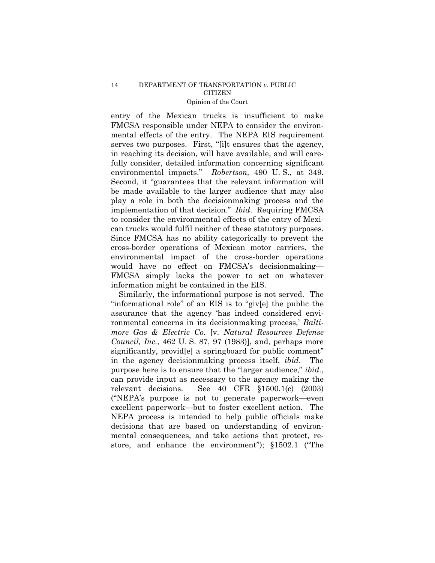entry of the Mexican trucks is insufficient to make FMCSA responsible under NEPA to consider the environmental effects of the entry. The NEPA EIS requirement serves two purposes. First, "[i]t ensures that the agency, in reaching its decision, will have available, and will carefully consider, detailed information concerning significant environmental impacts.<sup>"</sup> *Robertson*, 490 U.S., at 349. Second, it "guarantees that the relevant information will be made available to the larger audience that may also play a role in both the decisionmaking process and the implementation of that decision.î *Ibid*. Requiring FMCSA to consider the environmental effects of the entry of Mexican trucks would fulfil neither of these statutory purposes. Since FMCSA has no ability categorically to prevent the cross-border operations of Mexican motor carriers, the environmental impact of the cross-border operations would have no effect on FMCSA's decisionmaking— FMCSA simply lacks the power to act on whatever information might be contained in the EIS.

Similarly, the informational purpose is not served. The "informational role" of an EIS is to "giv[e] the public the assurance that the agency ëhas indeed considered environmental concerns in its decisionmaking process, *Baltimore Gas & Electric Co.* [v. *Natural Resources Defense Council, Inc.*, 462 U. S. 87, 97 (1983)], and, perhaps more significantly, provid[e] a springboard for public comment" in the agency decisionmaking process itself, *ibid*. The purpose here is to ensure that the "larger audience," *ibid.*, can provide input as necessary to the agency making the relevant decisions. See 40 CFR ß1500.1(c) (2003) ("NEPA's purpose is not to generate paperwork—even excellent paperwork—but to foster excellent action. The NEPA process is intended to help public officials make decisions that are based on understanding of environmental consequences, and take actions that protect, restore, and enhance the environment");  $§1502.1$  ("The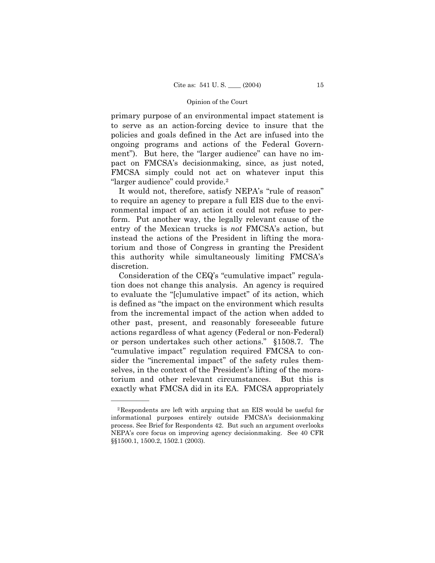primary purpose of an environmental impact statement is to serve as an action-forcing device to insure that the policies and goals defined in the Act are infused into the ongoing programs and actions of the Federal Government"). But here, the "larger audience" can have no impact on FMCSA's decisionmaking, since, as just noted, FMCSA simply could not act on whatever input this "larger audience" could provide.<sup>2</sup>

It would not, therefore, satisfy NEPA's "rule of reason" to require an agency to prepare a full EIS due to the environmental impact of an action it could not refuse to perform. Put another way, the legally relevant cause of the entry of the Mexican trucks is *not* FMCSAís action, but instead the actions of the President in lifting the moratorium and those of Congress in granting the President this authority while simultaneously limiting FMCSAís discretion.

Consideration of the  $CEQ$ 's "cumulative impact" regulation does not change this analysis. An agency is required to evaluate the "[c]umulative impact" of its action, which is defined as "the impact on the environment which results from the incremental impact of the action when added to other past, present, and reasonably foreseeable future actions regardless of what agency (Federal or non-Federal) or person undertakes such other actions." §1508.7. The "cumulative impact" regulation required FMCSA to consider the "incremental impact" of the safety rules themselves, in the context of the President's lifting of the moratorium and other relevant circumstances. But this is exactly what FMCSA did in its EA. FMCSA appropriately

<sup>2</sup>Respondents are left with arguing that an EIS would be useful for informational purposes entirely outside FMCSAís decisionmaking process. See Brief for Respondents 42. But such an argument overlooks NEPAís core focus on improving agency decisionmaking. See 40 CFR ßß1500.1, 1500.2, 1502.1 (2003).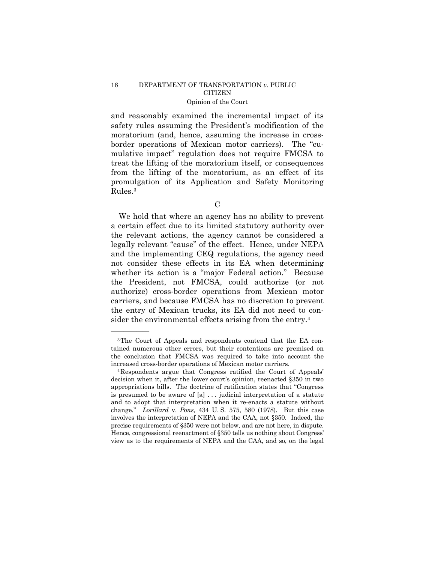and reasonably examined the incremental impact of its safety rules assuming the President's modification of the moratorium (and, hence, assuming the increase in crossborder operations of Mexican motor carriers). The "cumulative impact" regulation does not require FMCSA to treat the lifting of the moratorium itself, or consequences from the lifting of the moratorium, as an effect of its promulgation of its Application and Safety Monitoring Rules.3

We hold that where an agency has no ability to prevent a certain effect due to its limited statutory authority over the relevant actions, the agency cannot be considered a legally relevant "cause" of the effect. Hence, under NEPA and the implementing CEQ regulations, the agency need not consider these effects in its EA when determining whether its action is a "major Federal action." Because the President, not FMCSA, could authorize (or not authorize) cross-border operations from Mexican motor carriers, and because FMCSA has no discretion to prevent the entry of Mexican trucks, its EA did not need to consider the environmental effects arising from the entry.<sup>4</sup>

 $\mathcal{C}$ 

<sup>&</sup>lt;sup>3</sup>The Court of Appeals and respondents contend that the EA contained numerous other errors, but their contentions are premised on the conclusion that FMCSA was required to take into account the increased cross-border operations of Mexican motor carriers.

<sup>&</sup>lt;sup>4</sup>Respondents argue that Congress ratified the Court of Appeals' decision when it, after the lower court's opinion, reenacted  $§350$  in two appropriations bills. The doctrine of ratification states that "Congress is presumed to be aware of [a] . . . judicial interpretation of a statute and to adopt that interpretation when it re-enacts a statute without change.î *Lorillard* v. *Pons,* 434 U. S. 575, 580 (1978). But this case involves the interpretation of NEPA and the CAA, not ß350. Indeed, the precise requirements of ß350 were not below, and are not here, in dispute. Hence, congressional reenactment of §350 tells us nothing about Congress' view as to the requirements of NEPA and the CAA, and so, on the legal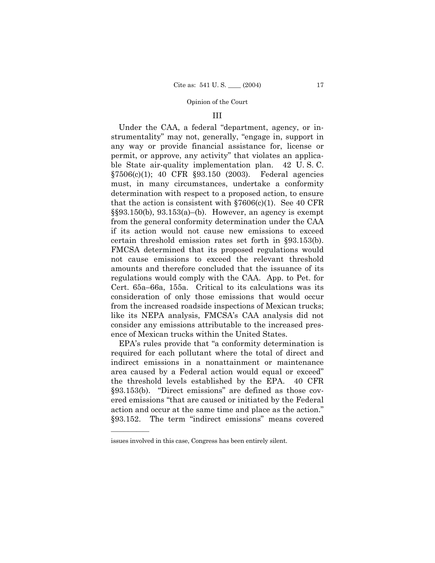### III

Under the CAA, a federal "department, agency, or instrumentality" may not, generally, "engage in, support in any way or provide financial assistance for, license or permit, or approve, any activity" that violates an applicable State air-quality implementation plan. 42 U. S. C. §7506(c)(1); 40 CFR §93.150 (2003). Federal agencies must, in many circumstances, undertake a conformity determination with respect to a proposed action, to ensure that the action is consistent with  $$7606(c)(1)$ . See 40 CFR  $\S$ §93.150(b), 93.153(a)–(b). However, an agency is exempt from the general conformity determination under the CAA if its action would not cause new emissions to exceed certain threshold emission rates set forth in ß93.153(b). FMCSA determined that its proposed regulations would not cause emissions to exceed the relevant threshold amounts and therefore concluded that the issuance of its regulations would comply with the CAA. App. to Pet. for Cert. 65a–66a, 155a. Critical to its calculations was its consideration of only those emissions that would occur from the increased roadside inspections of Mexican trucks; like its NEPA analysis, FMCSAís CAA analysis did not consider any emissions attributable to the increased presence of Mexican trucks within the United States.

EPA's rules provide that "a conformity determination is required for each pollutant where the total of direct and indirect emissions in a nonattainment or maintenance area caused by a Federal action would equal or exceed" the threshold levels established by the EPA. 40 CFR §93.153(b). "Direct emissions" are defined as those covered emissions "that are caused or initiated by the Federal action and occur at the same time and place as the action.<sup>"</sup>  $§93.152$ . The term "indirect emissions" means covered

issues involved in this case, Congress has been entirely silent.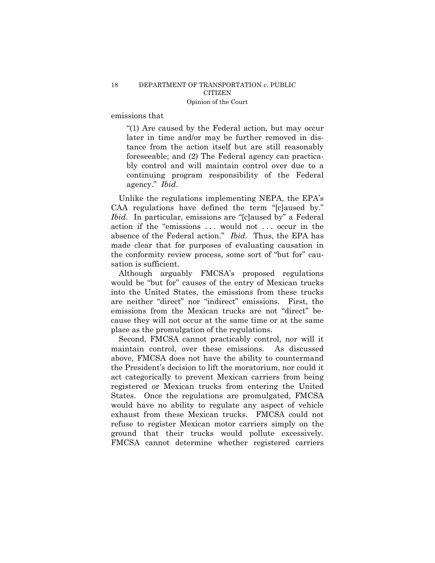emissions that

" $(1)$  Are caused by the Federal action, but may occur later in time and/or may be further removed in distance from the action itself but are still reasonably foreseeable; and (2) The Federal agency can practicably control and will maintain control over due to a continuing program responsibility of the Federal agency.î *Ibid*.

Unlike the regulations implementing NEPA, the EPAís  $CAA$  regulations have defined the term " $[c]_a$  aused by." *Ibid.* In particular, emissions are "[c]aused by" a Federal action if the "emissions ... would not ... occur in the absence of the Federal action.î *Ibid*. Thus, the EPA has made clear that for purposes of evaluating causation in the conformity review process, some sort of "but for" causation is sufficient.

Although arguably FMCSAís proposed regulations would be "but for" causes of the entry of Mexican trucks into the United States, the emissions from these trucks are neither "direct" nor "indirect" emissions. First, the emissions from the Mexican trucks are not "direct" because they will not occur at the same time or at the same place as the promulgation of the regulations.

Second, FMCSA cannot practicably control, nor will it maintain control, over these emissions. As discussed above, FMCSA does not have the ability to countermand the Presidentís decision to lift the moratorium, nor could it act categorically to prevent Mexican carriers from being registered or Mexican trucks from entering the United States. Once the regulations are promulgated, FMCSA would have no ability to regulate any aspect of vehicle exhaust from these Mexican trucks. FMCSA could not refuse to register Mexican motor carriers simply on the ground that their trucks would pollute excessively. FMCSA cannot determine whether registered carriers